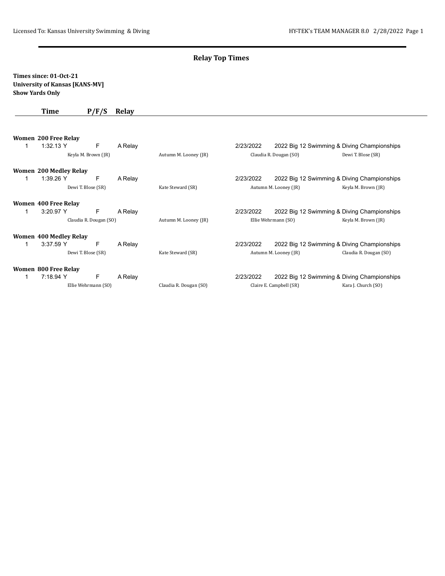### **Relay Top Times**

#### **Times since: 01-Oct-21 University of Kansas [KANS-MV] Show Yards Only**

### **Time P/F/S Relay**

|                     | Women 200 Free Relay          |                        |         |                        |                       |                         |                                             |
|---------------------|-------------------------------|------------------------|---------|------------------------|-----------------------|-------------------------|---------------------------------------------|
| 1                   | 1:32.13 Y                     | F.                     | A Relay |                        | 2/23/2022             |                         | 2022 Big 12 Swimming & Diving Championships |
|                     | Keyla M. Brown (JR)           |                        |         | Autumn M. Looney (JR)  |                       | Claudia R. Dougan (SO)  | Dewi T. Blose (SR)                          |
|                     | <b>Women 200 Medley Relay</b> |                        |         |                        |                       |                         |                                             |
|                     | $1:39.26$ Y                   | E                      | A Relay |                        | 2/23/2022             |                         | 2022 Big 12 Swimming & Diving Championships |
|                     | Dewi T. Blose (SR)            |                        |         | Kate Steward (SR)      | Autumn M. Looney (JR) |                         | Keyla M. Brown (JR)                         |
|                     | <b>Women 400 Free Relay</b>   |                        |         |                        |                       |                         |                                             |
|                     | 3:20.97 Y                     | E                      | A Relay |                        | 2/23/2022             |                         | 2022 Big 12 Swimming & Diving Championships |
|                     |                               | Claudia R. Dougan (SO) |         | Autumn M. Looney (JR)  |                       | Ellie Wehrmann (SO)     | Keyla M. Brown (JR)                         |
|                     | Women 400 Medley Relay        |                        |         |                        |                       |                         |                                             |
|                     | 3:37.59 Y                     | E                      | A Relay |                        | 2/23/2022             |                         | 2022 Big 12 Swimming & Diving Championships |
|                     | Dewi T. Blose (SR)            |                        |         | Kate Steward (SR)      | Autumn M. Looney (JR) |                         | Claudia R. Dougan (SO)                      |
|                     | Women 800 Free Relay          |                        |         |                        |                       |                         |                                             |
| 1.                  | 7:18.94 Y                     | F.                     | A Relay |                        | 2/23/2022             |                         | 2022 Big 12 Swimming & Diving Championships |
| Ellie Wehrmann (SO) |                               |                        |         | Claudia R. Dougan (SO) |                       | Claire E. Campbell (SR) | Kara J. Church (SO)                         |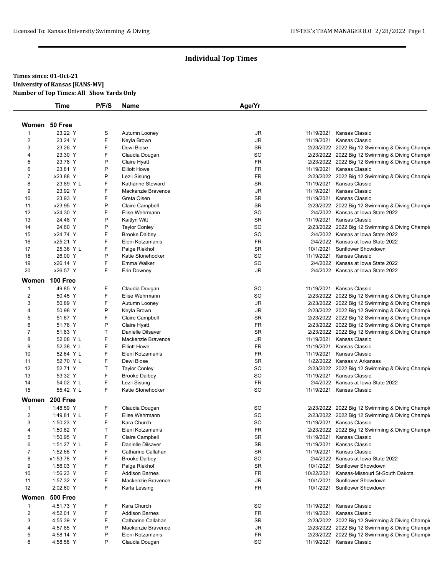#### **Times since: 01-Oct-21 University of Kansas [KANS-MV] Number of Top Times: All Show Yards Only**

|                | <b>Time</b>     | P/F/S | Name                  | Age/Yr    |            |                                                 |
|----------------|-----------------|-------|-----------------------|-----------|------------|-------------------------------------------------|
| Women 50 Free  |                 |       |                       |           |            |                                                 |
| $\mathbf 1$    | 23.22 Y         | S     | Autumn Looney         | JR        |            | 11/19/2021 Kansas Classic                       |
| $\overline{c}$ | 23.24 Y         | F     | Keyla Brown           | <b>JR</b> | 11/19/2021 | Kansas Classic                                  |
| 3              | 23.26 Y         | F     | Dewi Blose            | <b>SR</b> |            | 2/23/2022 2022 Big 12 Swimming & Diving Champi- |
| 4              | 23.30 Y         | F     | Claudia Dougan        | SO        |            | 2/23/2022 2022 Big 12 Swimming & Diving Champir |
| 5              | 23.78 Y         | P     | Claire Hyatt          | <b>FR</b> |            | 2/23/2022 2022 Big 12 Swimming & Diving Champi  |
| 6              | 23.81 Y         | P     | <b>Elliott Howe</b>   | <b>FR</b> |            | 11/19/2021 Kansas Classic                       |
| $\overline{7}$ | x23.88 Y        | P     | Lezli Sisung          | <b>FR</b> |            | 2/23/2022 2022 Big 12 Swimming & Diving Champi  |
| 8              | 23.89 Y L       | F     | Katharine Steward     | <b>SR</b> | 11/19/2021 | Kansas Classic                                  |
| 9              | 23.92 Y         | F     | Mackenzie Bravence    | JR        | 11/19/2021 | Kansas Classic                                  |
| 10             | 23.93 Y         | F     | Greta Olsen           | <b>SR</b> |            | 11/19/2021 Kansas Classic                       |
| 11             | x23.95 Y        | P     | Claire Campbell       | <b>SR</b> |            | 2/23/2022 2022 Big 12 Swimming & Diving Champir |
| 12             | x24.30 Y        | F     | Elise Wehrmann        | SO        |            | 2/4/2022 Kansas at Iowa State 2022              |
| 13             | 24.48 Y         | P     | Kaitlyn Witt          | <b>SR</b> |            | 11/19/2021 Kansas Classic                       |
| 14             | 24.60 Y         | P     | <b>Taylor Conley</b>  | SO        |            | 2/23/2022 2022 Big 12 Swimming & Diving Champi  |
| 15             | x24.74 Y        | F     | <b>Brooke Dalbey</b>  | SO        |            | 2/4/2022 Kansas at Iowa State 2022              |
| 16             | x25.21 Y        | F     | Eleni Kotzamanis      | <b>FR</b> |            | 2/4/2022 Kansas at Iowa State 2022              |
| 17             | 25.36 Y L       | F     | Paige Riekhof         | <b>SR</b> | 10/1/2021  | Sunflower Showdown                              |
| 18             | 26.00 Y         | P     | Katie Stonehocker     | <b>SO</b> | 11/19/2021 | Kansas Classic                                  |
| 19             | x26.14 Y        | F     | Emma Walker           | SO        |            | 2/4/2022 Kansas at Iowa State 2022              |
| 20             | x26.57 Y        | F     | Erin Downey           | <b>JR</b> |            | 2/4/2022 Kansas at Iowa State 2022              |
|                | Women 100 Free  |       |                       |           |            |                                                 |
| $\mathbf{1}$   | 49.85 Y         | F     | Claudia Dougan        | SO        |            | 11/19/2021 Kansas Classic                       |
| $\overline{2}$ | 50.45 Y         | F     | Elise Wehrmann        | SO        |            | 2/23/2022 2022 Big 12 Swimming & Diving Champir |
| 3              | 50.89 Y         | F     | Autumn Looney         | JR        |            | 2/23/2022 2022 Big 12 Swimming & Diving Champi  |
| 4              | 50.98 Y         | P     | Keyla Brown           | JR        |            | 2/23/2022 2022 Big 12 Swimming & Diving Champir |
| 5              | 51.67 Y         | F     | Claire Campbell       | <b>SR</b> |            | 2/23/2022 2022 Big 12 Swimming & Diving Champi  |
| 6              | 51.76 Y         | P     | Claire Hyatt          | <b>FR</b> |            | 2/23/2022 2022 Big 12 Swimming & Diving Champi  |
| $\overline{7}$ | 51.83 Y         | T     | Danielle Dilsaver     | <b>SR</b> |            | 2/23/2022 2022 Big 12 Swimming & Diving Champi  |
| 8              | 52.08 Y L       | F     | Mackenzie Bravence    | JR        | 11/19/2021 | Kansas Classic                                  |
| 9              | 52.38 Y L       | F     | <b>Elliott Howe</b>   | <b>FR</b> | 11/19/2021 | Kansas Classic                                  |
| 10             | 52.64 Y L       | F     | Eleni Kotzamanis      | <b>FR</b> |            | 11/19/2021 Kansas Classic                       |
| 11             | 52.70 Y L       | F     | Dewi Blose            | <b>SR</b> |            | 1/22/2022 Kansas v. Arkansas                    |
| 12             | 52.71 Y         | T     | <b>Taylor Conley</b>  | SO        |            | 2/23/2022 2022 Big 12 Swimming & Diving Champi  |
| 13             | 53.32 Y         | F     | <b>Brooke Dalbey</b>  | SO        |            | 11/19/2021 Kansas Classic                       |
| 14             | 54.02 Y L       | F     | Lezli Sisung          | <b>FR</b> |            | 2/4/2022 Kansas at Iowa State 2022              |
| 15             | 55.42 Y L       | F     | Katie Stonehocker     | SO        |            | 11/19/2021 Kansas Classic                       |
| Women          | 200 Free        |       |                       |           |            |                                                 |
| $\mathbf{1}$   | 1:48.59 Y       | F     | Claudia Dougan        | SO        |            | 2/23/2022 2022 Big 12 Swimming & Diving Champir |
| 2              | 1:49.81 Y L     | F     | Elise Wehrmann        | SO        |            | 2/23/2022 2022 Big 12 Swimming & Diving Champi  |
| 3              | 1:50.23 Y       | F     | Kara Church           | SO        |            | 11/19/2021 Kansas Classic                       |
| 4              | 1:50.82 Y       | Т     | Eleni Kotzamanis      | FR        |            | 2/23/2022 2022 Big 12 Swimming & Diving Champir |
| 5              | 1:50.95 Y       | F     | Claire Campbell       | <b>SR</b> | 11/19/2021 | Kansas Classic                                  |
| 6              | 1:51.27 Y L     | F     | Danielle Dilsaver     | SR        | 11/19/2021 | Kansas Classic                                  |
| $\overline{7}$ | 1:52.66 Y       | F     | Catharine Callahan    | SR        |            | 11/19/2021 Kansas Classic                       |
| 8              | x1:53.78 Y      | F     | <b>Brooke Dalbey</b>  | SO        |            | 2/4/2022 Kansas at Iowa State 2022              |
| 9              | 1:56.03 Y       | F     | Paige Riekhof         | SR        | 10/1/2021  | Sunflower Showdown                              |
| 10             | 1:56.23 Y       | F     | <b>Addison Barnes</b> | <b>FR</b> | 10/22/2021 | Kansas-Missouri St-South Dakota                 |
| 11             | 1:57.32 Y       | F     | Mackenzie Bravence    | JR        | 10/1/2021  | Sunflower Showdown                              |
| 12             | 2:02.60 Y       | F     | Karla Lessing         | FR        |            | 10/1/2021 Sunflower Showdown                    |
| Women          | <b>500 Free</b> |       |                       |           |            |                                                 |
| $\mathbf{1}$   | 4:51.73 Y       | F     | Kara Church           | SO        | 11/19/2021 | Kansas Classic                                  |
| $\overline{c}$ | 4:52.01 Y       | F     | <b>Addison Barnes</b> | <b>FR</b> | 11/19/2021 | Kansas Classic                                  |
| 3              | 4:55.39 Y       | F     | Catharine Callahan    | SR        |            | 2/23/2022 2022 Big 12 Swimming & Diving Champi- |
| 4              | 4:57.85 Y       | P     | Mackenzie Bravence    | JR        |            | 2/23/2022 2022 Big 12 Swimming & Diving Champi- |
| 5              | 4:58.14 Y       | P     | Eleni Kotzamanis      | FR        |            | 2/23/2022 2022 Big 12 Swimming & Diving Champi  |
| 6              | 4:58.56 Y       | P     | Claudia Dougan        | SO        |            | 11/19/2021 Kansas Classic                       |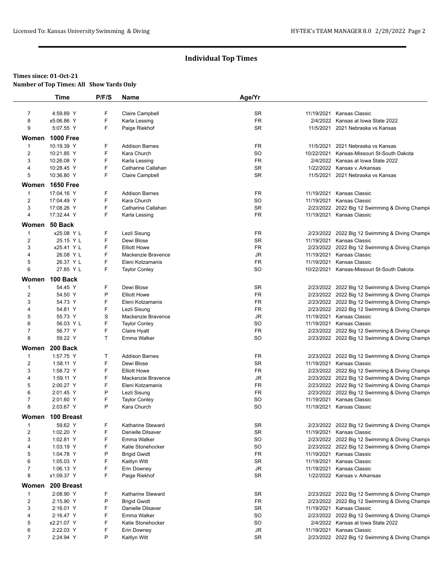#### **Times since: 01-Oct-21 Number of Top Times: All Show Yards Only**

|                | <b>Time</b>      | P/F/S        | Name                   | Age/Yr    |                                                  |
|----------------|------------------|--------------|------------------------|-----------|--------------------------------------------------|
|                |                  |              |                        |           |                                                  |
| $\overline{7}$ | 4:59.89 Y        | F            | <b>Claire Campbell</b> | SR        | 11/19/2021 Kansas Classic                        |
| 8              | x5:06.86 Y       | F            | Karla Lessing          | <b>FR</b> | 2/4/2022 Kansas at Iowa State 2022               |
| 9              | 5:07.55 Y        | F            | Paige Riekhof          | <b>SR</b> | 11/5/2021 2021 Nebraska vs Kansas                |
|                | Women 1000 Free  |              |                        |           |                                                  |
| $\mathbf 1$    | 10:19.39 Y       | F            | <b>Addison Barnes</b>  | <b>FR</b> | 11/5/2021 2021 Nebraska vs Kansas                |
| 2              | 10:21.85 Y       | F            | Kara Church            | <b>SO</b> | 10/22/2021 Kansas-Missouri St-South Dakota       |
| 3              | 10:26.08 Y       | F            | Karla Lessing          | <b>FR</b> | 2/4/2022 Kansas at Iowa State 2022               |
| 4              | 10:28.45 Y       | F            | Catharine Callahan     | <b>SR</b> | 1/22/2022 Kansas v. Arkansas                     |
| 5              | 10:36.80 Y       | F            | Claire Campbell        | <b>SR</b> | 11/5/2021 2021 Nebraska vs Kansas                |
|                | Women 1650 Free  |              |                        |           |                                                  |
| $\mathbf{1}$   | 17:04.16 Y       | F            | <b>Addison Barnes</b>  | <b>FR</b> | 11/19/2021 Kansas Classic                        |
| 2              | 17:04.49 Y       | F            | Kara Church            | SO        | 11/19/2021 Kansas Classic                        |
| 3              | 17:08.26 Y       | F            | Catharine Callahan     | <b>SR</b> | 2/23/2022 2022 Big 12 Swimming & Diving Champi   |
| 4              | 17:32.44 Y       | F            | Karla Lessing          | <b>FR</b> | 11/19/2021 Kansas Classic                        |
|                | Women 50 Back    |              |                        |           |                                                  |
| $\mathbf{1}$   | x25.08 Y L       | F            | Lezli Sisung           | <b>FR</b> | 2/23/2022 2022 Big 12 Swimming & Diving Champi   |
| 2              | 25.15 Y L        | F            | Dewi Blose             | <b>SR</b> | 11/19/2021 Kansas Classic                        |
| 3              | x25.41 Y L       | F            | <b>Elliott Howe</b>    | <b>FR</b> | 2/23/2022 2022 Big 12 Swimming & Diving Champi   |
| 4              | 26.08 Y L        | F            | Mackenzie Bravence     | JR        | 11/19/2021 Kansas Classic                        |
| 5              | 26.37 Y L        | F            | Eleni Kotzamanis       | <b>FR</b> | 11/19/2021 Kansas Classic                        |
| 6              | 27.85 Y L        | F            | <b>Taylor Conley</b>   | <b>SO</b> | 10/22/2021 Kansas-Missouri St-South Dakota       |
|                | Women 100 Back   |              |                        |           |                                                  |
| $\mathbf{1}$   | 54.45 Y          | F            | Dewi Blose             | <b>SR</b> | 2/23/2022 2022 Big 12 Swimming & Diving Champi   |
| 2              | 54.50 Y          | P            | <b>Elliott Howe</b>    | <b>FR</b> | 2/23/2022 2022 Big 12 Swimming & Diving Champi-  |
| 3              | 54.73 Y          | F            | Eleni Kotzamanis       | <b>FR</b> | 2/23/2022 2022 Big 12 Swimming & Diving Champi   |
| $\overline{4}$ | 54.81 Y          | F            | Lezli Sisung           | <b>FR</b> | 2/23/2022 2022 Big 12 Swimming & Diving Champi   |
| 5              | 55.73 Y          | S            | Mackenzie Bravence     | JR        | 11/19/2021 Kansas Classic                        |
| 6              | 56.03 Y L        | F            | <b>Taylor Conley</b>   | SO        | 11/19/2021 Kansas Classic                        |
| $\overline{7}$ | 56.77 Y          | F            | Claire Hyatt           | <b>FR</b> | 2/23/2022 2022 Big 12 Swimming & Diving Champi   |
| 8              | 59.22 Y          | $\mathsf{T}$ | Emma Walker            | SO        | 2/23/2022 2022 Big 12 Swimming & Diving Champion |
|                | Women 200 Back   |              |                        |           |                                                  |
| $\mathbf 1$    | 1:57.75 Y        | т            | <b>Addison Barnes</b>  | <b>FR</b> |                                                  |
|                |                  | F            |                        |           | 2/23/2022 2022 Big 12 Swimming & Diving Champir  |
| $\overline{c}$ | 1:58.11 Y        |              | Dewi Blose             | <b>SR</b> | 11/19/2021 Kansas Classic                        |
| 3              | 1:58.72 Y        | F            | <b>Elliott Howe</b>    | <b>FR</b> | 2/23/2022 2022 Big 12 Swimming & Diving Champi   |
| $\overline{4}$ | 1:59.11 Y        | F            | Mackenzie Bravence     | JR        | 2/23/2022 2022 Big 12 Swimming & Diving Champi   |
| 5              | 2:00.27 Y        | F            | Eleni Kotzamanis       | <b>FR</b> | 2/23/2022 2022 Big 12 Swimming & Diving Champir  |
| 6              | 2:01.45 Y        | P            | Lezli Sisung           | <b>FR</b> | 2/23/2022 2022 Big 12 Swimming & Diving Champir  |
| $\overline{7}$ | 2:01.60 Y        | F            | <b>Taylor Conley</b>   | SO        | 11/19/2021 Kansas Classic                        |
| 8              | 2:03.67 Y        | P            | Kara Church            | SO        | 11/19/2021 Kansas Classic                        |
| Women          | 100 Breast       |              |                        |           |                                                  |
| $\mathbf 1$    | 59.62 Y          | F            | Katharine Steward      | <b>SR</b> | 2/23/2022 2022 Big 12 Swimming & Diving Champir  |
| $\overline{c}$ | 1:02.20 Y        | F            | Danielle Dilsaver      | SR        | 11/19/2021 Kansas Classic                        |
| 3              | 1:02.81 Y        | F            | Emma Walker            | SO        | 2/23/2022 2022 Big 12 Swimming & Diving Champi   |
| 4              | 1:03.19 Y        | F            | Katie Stonehocker      | SO        | 2/23/2022 2022 Big 12 Swimming & Diving Champi   |
| 5              | 1:04.78 Y        | P            | <b>Brigid Gwidt</b>    | FR        | 11/19/2021 Kansas Classic                        |
| 6              | 1:05.03 Y        | F            | Kaitlyn Witt           | SR        | 11/19/2021 Kansas Classic                        |
| $\overline{7}$ | 1:06.13 Y        | F            | Erin Downey            | JR        | 11/19/2021 Kansas Classic                        |
| 8              | x1:09.37 Y       | F            | Paige Riekhof          | <b>SR</b> | 1/22/2022 Kansas v. Arkansas                     |
|                | Women 200 Breast |              |                        |           |                                                  |
| $\mathbf{1}$   | 2:08.90 Y        | F            | Katharine Steward      | SR        | 2/23/2022 2022 Big 12 Swimming & Diving Champir  |
| $\overline{c}$ | 2:15.90 Y        | P            | <b>Brigid Gwidt</b>    | FR        | 2/23/2022 2022 Big 12 Swimming & Diving Champi   |
| 3              | 2:16.01 Y        | F            | Danielle Dilsaver      | SR        | 11/19/2021 Kansas Classic                        |
| 4              | 2:16.47 Y        | F            | Emma Walker            | SO        | 2/23/2022 2022 Big 12 Swimming & Diving Champi   |
| 5              | x2:21.07 Y       | F            | Katie Stonehocker      | SO        | 2/4/2022 Kansas at Iowa State 2022               |
| 6              | 2:22.03 Y        | F            | Erin Downey            | JR        | 11/19/2021 Kansas Classic                        |
| $\overline{7}$ | 2:24.94 Y        | P            | Kaitlyn Witt           | <b>SR</b> | 2/23/2022 2022 Big 12 Swimming & Diving Champi   |
|                |                  |              |                        |           |                                                  |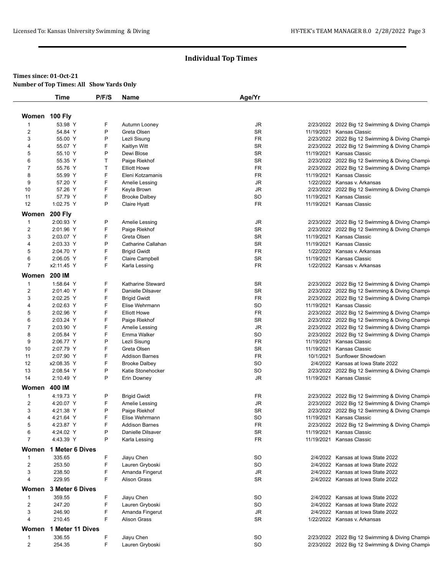## **Times since: 01-Oct-21 Number of Top Times: All Show Yards Only**

|                | Time                    | P/F/S       | Name                                          | Age/Yr                 |            |                                                 |
|----------------|-------------------------|-------------|-----------------------------------------------|------------------------|------------|-------------------------------------------------|
|                |                         |             |                                               |                        |            |                                                 |
| Women 100 Fly  |                         |             |                                               |                        |            |                                                 |
| 1              | 53.98 Y                 | F           | Autumn Looney                                 | JR                     |            | 2/23/2022 2022 Big 12 Swimming & Diving Champir |
| 2              | 54.84 Y                 | P           | Greta Olsen                                   | <b>SR</b>              |            | 11/19/2021 Kansas Classic                       |
| 3              | 55.00 Y                 | P           | Lezli Sisung                                  | FR                     |            | 2/23/2022 2022 Big 12 Swimming & Diving Champir |
| 4              | 55.07 Y                 | F           | Kaitlyn Witt                                  | <b>SR</b>              |            | 2/23/2022 2022 Big 12 Swimming & Diving Champi  |
| 5              | 55.10 Y                 | P           | Dewi Blose                                    | <b>SR</b>              |            | 11/19/2021 Kansas Classic                       |
| 6              | 55.35 Y                 | т           | Paige Riekhof                                 | <b>SR</b>              |            | 2/23/2022 2022 Big 12 Swimming & Diving Champi  |
| 7              | 55.76 Y                 | T           | <b>Elliott Howe</b>                           | FR                     |            | 2/23/2022 2022 Big 12 Swimming & Diving Champir |
| 8              | 55.99 Y                 | F           | Eleni Kotzamanis                              | FR                     |            | 11/19/2021 Kansas Classic                       |
| 9              | 57.20 Y                 | F           | Amelie Lessing                                | JR                     |            | 1/22/2022 Kansas v. Arkansas                    |
| 10             | 57.26 Y                 | F           | Keyla Brown                                   | JR                     |            | 2/23/2022 2022 Big 12 Swimming & Diving Champi  |
| 11             | 57.79 Y                 | F           | <b>Brooke Dalbey</b>                          | SO                     |            | 11/19/2021 Kansas Classic                       |
| 12             | 1:02.75 Y               | P           | Claire Hyatt                                  | <b>FR</b>              |            | 11/19/2021 Kansas Classic                       |
| Women          | <b>200 Fly</b>          |             |                                               |                        |            |                                                 |
| $\mathbf{1}$   | 2:00.93 Y               | P           | Amelie Lessing                                | JR                     |            | 2/23/2022 2022 Big 12 Swimming & Diving Champir |
| 2              | 2:01.96 Y               | F           | Paige Riekhof                                 | <b>SR</b>              |            | 2/23/2022 2022 Big 12 Swimming & Diving Champi  |
| 3              | 2:03.07 Y               | F           | Greta Olsen                                   | SR                     |            | 11/19/2021 Kansas Classic                       |
| 4              | 2:03.33 Y               | P           | Catharine Callahan                            | <b>SR</b>              | 11/19/2021 | Kansas Classic                                  |
| 5              | 2:04.70 Y               | F           | <b>Brigid Gwidt</b>                           | FR                     |            | 1/22/2022 Kansas v. Arkansas                    |
| 6              | 2:06.05 Y               | F           | Claire Campbell                               | <b>SR</b>              |            | 11/19/2021 Kansas Classic                       |
| 7              | x2:11.45 Y              | F           | Karla Lessing                                 | FR                     |            | 1/22/2022 Kansas v. Arkansas                    |
|                | 200 IM                  |             |                                               |                        |            |                                                 |
| Women          | 1:58.64 Y               |             |                                               |                        |            |                                                 |
| $\mathbf{1}$   | 2:01.40 Y               | F<br>F      | <b>Katharine Steward</b><br>Danielle Dilsaver | SR<br><b>SR</b>        |            | 2/23/2022 2022 Big 12 Swimming & Diving Champig |
| 2              |                         | F           |                                               |                        |            | 2/23/2022 2022 Big 12 Swimming & Diving Champi  |
| 3              | 2:02.25 Y               | F           | <b>Brigid Gwidt</b>                           | <b>FR</b>              |            | 2/23/2022 2022 Big 12 Swimming & Diving Champi  |
| 4              | 2:02.63 Y               | F           | Elise Wehrmann                                | SO                     |            | 11/19/2021 Kansas Classic                       |
| 5              | 2:02.96 Y               | F           | <b>Elliott Howe</b>                           | FR                     |            | 2/23/2022 2022 Big 12 Swimming & Diving Champi  |
| 6              | 2:03.24 Y               |             | Paige Riekhof                                 | SR                     |            | 2/23/2022 2022 Big 12 Swimming & Diving Champi  |
| 7              | 2:03.90 Y               | F<br>F      | Amelie Lessing                                | $\mathsf{J}\mathsf{R}$ |            | 2/23/2022 2022 Big 12 Swimming & Diving Champir |
| 8              | 2:05.84 Y               | P           | Emma Walker                                   | SO                     |            | 2/23/2022 2022 Big 12 Swimming & Diving Champi  |
| 9              | 2:06.77 Y               |             | Lezli Sisung                                  | FR                     |            | 11/19/2021 Kansas Classic                       |
| 10             | 2:07.79 Y<br>2:07.90 Y  | F<br>F      | Greta Olsen                                   | SR<br>FR               | 11/19/2021 | Kansas Classic<br>Sunflower Showdown            |
| 11             |                         | F           | <b>Addison Barnes</b>                         |                        | 10/1/2021  |                                                 |
| 12             | x2:08.35 Y<br>2:08.54 Y | P           | <b>Brooke Dalbey</b>                          | <b>SO</b><br>SO        |            | 2/4/2022 Kansas at Iowa State 2022              |
| 13             |                         | P           | Katie Stonehocker                             |                        |            | 2/23/2022 2022 Big 12 Swimming & Diving Champi  |
| 14             | 2:10.49 Y               |             | Erin Downey                                   | JR                     |            | 11/19/2021 Kansas Classic                       |
| Women          | 400 IM                  |             |                                               |                        |            |                                                 |
| $\mathbf{1}$   | 4:19.73 Y               | P           | <b>Brigid Gwidt</b>                           | FR                     |            | 2/23/2022 2022 Big 12 Swimming & Diving Champir |
| $\overline{2}$ | 4:20.07 Y               | F           | Amelie Lessing                                | JR                     |            | 2/23/2022 2022 Big 12 Swimming & Diving Champi  |
| 3              | 4:21.38 Y               | P           | Paige Riekhof                                 | <b>SR</b>              |            | 2/23/2022 2022 Big 12 Swimming & Diving Champi  |
| 4              | 4:21.64 Y               | $\mathsf F$ | Elise Wehrmann                                | SO                     |            | 11/19/2021 Kansas Classic                       |
| 5              | 4:23.87 Y               | F           | <b>Addison Barnes</b>                         | FR                     |            | 2/23/2022 2022 Big 12 Swimming & Diving Champig |
| 6              | 4:24.02 Y               | P           | Danielle Dilsaver                             | SR                     | 11/19/2021 | Kansas Classic                                  |
| 7              | 4:43.39 Y               | Ρ           | Karla Lessing                                 | FR                     |            | 11/19/2021 Kansas Classic                       |
| Women          | 1 Meter 6 Dives         |             |                                               |                        |            |                                                 |
| $\mathbf{1}$   | 335.65                  | F           | Jiayu Chen                                    | SO                     |            | 2/4/2022 Kansas at Iowa State 2022              |
| $\overline{c}$ | 253.50                  | F           | Lauren Gryboski                               | SO                     |            | 2/4/2022 Kansas at Iowa State 2022              |
| 3              | 238.50                  | F           | Amanda Fingerut                               | JR                     |            | 2/4/2022 Kansas at Iowa State 2022              |
| 4              | 229.95                  | F           | <b>Alison Grass</b>                           | <b>SR</b>              |            | 2/4/2022 Kansas at Iowa State 2022              |
| Women          | 3 Meter 6 Dives         |             |                                               |                        |            |                                                 |
| 1              | 359.55                  | F           | Jiayu Chen                                    | SO                     |            | 2/4/2022 Kansas at Iowa State 2022              |
| 2              | 247.20                  | F           | Lauren Gryboski                               | SO                     |            | 2/4/2022 Kansas at Iowa State 2022              |
| 3              | 246.90                  | F           | Amanda Fingerut                               | JR                     |            | 2/4/2022 Kansas at Iowa State 2022              |
| 4              | 210.45                  | F           | <b>Alison Grass</b>                           | <b>SR</b>              |            | 1/22/2022 Kansas v. Arkansas                    |
|                |                         |             |                                               |                        |            |                                                 |
| Women          | 1 Meter 11 Dives        |             |                                               |                        |            |                                                 |
| 1              | 336.55                  | F           | Jiayu Chen                                    | SO                     |            | 2/23/2022 2022 Big 12 Swimming & Diving Champir |
| $\overline{c}$ | 254.35                  | F           | Lauren Gryboski                               | SO                     |            | 2/23/2022 2022 Big 12 Swimming & Diving Champir |